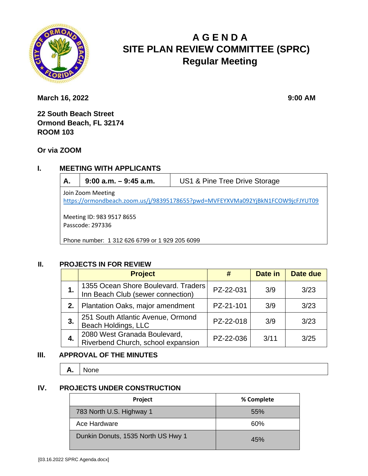

# **A G E N D A SITE PLAN REVIEW COMMITTEE (SPRC) Regular Meeting**

**March 16, 2022** 9:00 **AM** 

**22 South Beach Street Ormond Beach, FL 32174 ROOM 103**

**Or via ZOOM**

### **I. MEETING WITH APPLICANTS**

**A. 9:00 a.m. – 9:45 a.m.** US1 & Pine Tree Drive Storage

Join Zoom Meeting <https://ormondbeach.zoom.us/j/98395178655?pwd=MVFEYXVMa092YjBkN1FCOW9jcFJYUT09>

Meeting ID: 983 9517 8655 Passcode: 297336

Phone number: 1 312 626 6799 or 1 929 205 6099

#### **II. PROJECTS IN FOR REVIEW**

|    | <b>Project</b>                                                           |           | Date in | Date due |
|----|--------------------------------------------------------------------------|-----------|---------|----------|
|    | 1355 Ocean Shore Boulevard. Traders<br>Inn Beach Club (sewer connection) | PZ-22-031 | 3/9     | 3/23     |
| 2. | Plantation Oaks, major amendment                                         | PZ-21-101 | 3/9     | 3/23     |
| 3. | 251 South Atlantic Avenue, Ormond<br>Beach Holdings, LLC                 | PZ-22-018 | 3/9     | 3/23     |
| 4. | 2080 West Granada Boulevard,<br>Riverbend Church, school expansion       | PZ-22-036 | 3/11    | 3/25     |

#### **III. APPROVAL OF THE MINUTES**

**A.** None

#### **IV. PROJECTS UNDER CONSTRUCTION**

| Project                            | % Complete |
|------------------------------------|------------|
| 783 North U.S. Highway 1           | 55%        |
| Ace Hardware                       | 60%        |
| Dunkin Donuts, 1535 North US Hwy 1 | 45%        |